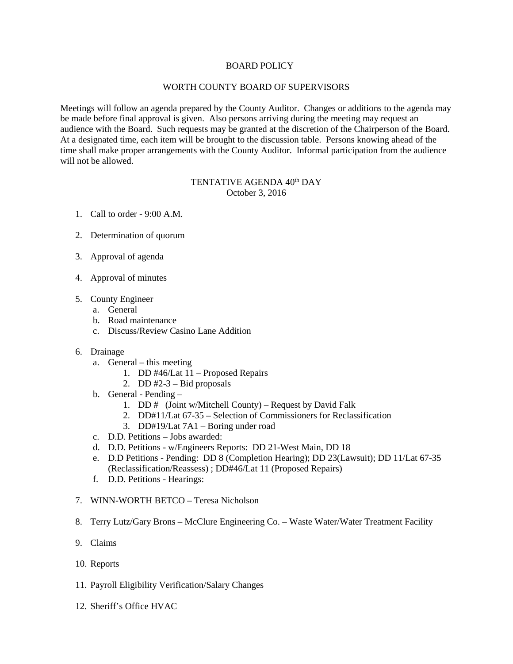## BOARD POLICY

# WORTH COUNTY BOARD OF SUPERVISORS

Meetings will follow an agenda prepared by the County Auditor. Changes or additions to the agenda may be made before final approval is given. Also persons arriving during the meeting may request an audience with the Board. Such requests may be granted at the discretion of the Chairperson of the Board. At a designated time, each item will be brought to the discussion table. Persons knowing ahead of the time shall make proper arrangements with the County Auditor. Informal participation from the audience will not be allowed.

# TENTATIVE AGENDA 40<sup>th</sup> DAY October 3, 2016

- 1. Call to order 9:00 A.M.
- 2. Determination of quorum
- 3. Approval of agenda
- 4. Approval of minutes
- 5. County Engineer
	- a. General
	- b. Road maintenance
	- c. Discuss/Review Casino Lane Addition
- 6. Drainage
	- a. General this meeting
		- 1. DD #46/Lat 11 Proposed Repairs
		- 2. DD  $#2-3$  Bid proposals
	- b. General Pending
		- 1. DD # (Joint w/Mitchell County) Request by David Falk
		- 2. DD#11/Lat 67-35 Selection of Commissioners for Reclassification
		- 3. DD#19/Lat 7A1 Boring under road
	- c. D.D. Petitions Jobs awarded:
	- d. D.D. Petitions w/Engineers Reports: DD 21-West Main, DD 18
	- e. D.D Petitions Pending: DD 8 (Completion Hearing); DD 23(Lawsuit); DD 11/Lat 67-35 (Reclassification/Reassess) ; DD#46/Lat 11 (Proposed Repairs)
	- f. D.D. Petitions Hearings:
- 7. WINN-WORTH BETCO Teresa Nicholson
- 8. Terry Lutz/Gary Brons McClure Engineering Co. Waste Water/Water Treatment Facility
- 9. Claims
- 10. Reports
- 11. Payroll Eligibility Verification/Salary Changes
- 12. Sheriff's Office HVAC